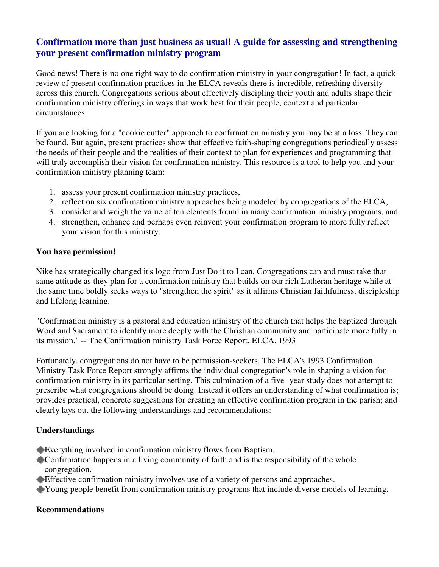# **Confirmation more than just business as usual! A guide for assessing and strengthening your present confirmation ministry program**

Good news! There is no one right way to do confirmation ministry in your congregation! In fact, a quick review of present confirmation practices in the ELCA reveals there is incredible, refreshing diversity across this church. Congregations serious about effectively discipling their youth and adults shape their confirmation ministry offerings in ways that work best for their people, context and particular circumstances.

If you are looking for a "cookie cutter" approach to confirmation ministry you may be at a loss. They can be found. But again, present practices show that effective faith-shaping congregations periodically assess the needs of their people and the realities of their context to plan for experiences and programming that will truly accomplish their vision for confirmation ministry. This resource is a tool to help you and your confirmation ministry planning team:

- 1. assess your present confirmation ministry practices,
- 2. reflect on six confirmation ministry approaches being modeled by congregations of the ELCA,
- 3. consider and weigh the value of ten elements found in many confirmation ministry programs, and
- 4. strengthen, enhance and perhaps even reinvent your confirmation program to more fully reflect your vision for this ministry.

#### **You have permission!**

Nike has strategically changed it's logo from Just Do it to I can. Congregations can and must take that same attitude as they plan for a confirmation ministry that builds on our rich Lutheran heritage while at the same time boldly seeks ways to "strengthen the spirit" as it affirms Christian faithfulness, discipleship and lifelong learning.

"Confirmation ministry is a pastoral and education ministry of the church that helps the baptized through Word and Sacrament to identify more deeply with the Christian community and participate more fully in its mission." -- The Confirmation ministry Task Force Report, ELCA, 1993

Fortunately, congregations do not have to be permission-seekers. The ELCA's 1993 Confirmation Ministry Task Force Report strongly affirms the individual congregation's role in shaping a vision for confirmation ministry in its particular setting. This culmination of a five- year study does not attempt to prescribe what congregations should be doing. Instead it offers an understanding of what confirmation is; provides practical, concrete suggestions for creating an effective confirmation program in the parish; and clearly lays out the following understandings and recommendations:

# **Understandings**

Everything involved in confirmation ministry flows from Baptism.

- Confirmation happens in a living community of faith and is the responsibility of the whole congregation.
- Effective confirmation ministry involves use of a variety of persons and approaches.
- Young people benefit from confirmation ministry programs that include diverse models of learning.

#### **Recommendations**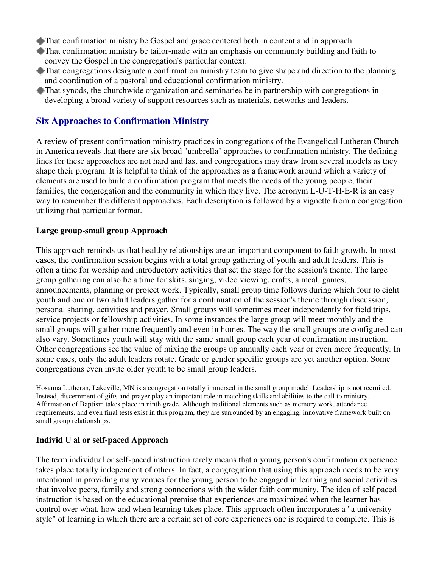- That confirmation ministry be Gospel and grace centered both in content and in approach.
- That confirmation ministry be tailor-made with an emphasis on community building and faith to convey the Gospel in the congregation's particular context.
- That congregations designate a confirmation ministry team to give shape and direction to the planning and coordination of a pastoral and educational confirmation ministry.
- That synods, the churchwide organization and seminaries be in partnership with congregations in developing a broad variety of support resources such as materials, networks and leaders.

# **Six Approaches to Confirmation Ministry**

A review of present confirmation ministry practices in congregations of the Evangelical Lutheran Church in America reveals that there are six broad "umbrella" approaches to confirmation ministry. The defining lines for these approaches are not hard and fast and congregations may draw from several models as they shape their program. It is helpful to think of the approaches as a framework around which a variety of elements are used to build a confirmation program that meets the needs of the young people, their families, the congregation and the community in which they live. The acronym L-U-T-H-E-R is an easy way to remember the different approaches. Each description is followed by a vignette from a congregation utilizing that particular format.

### **Large group-small group Approach**

This approach reminds us that healthy relationships are an important component to faith growth. In most cases, the confirmation session begins with a total group gathering of youth and adult leaders. This is often a time for worship and introductory activities that set the stage for the session's theme. The large group gathering can also be a time for skits, singing, video viewing, crafts, a meal, games, announcements, planning or project work. Typically, small group time follows during which four to eight youth and one or two adult leaders gather for a continuation of the session's theme through discussion, personal sharing, activities and prayer. Small groups will sometimes meet independently for field trips, service projects or fellowship activities. In some instances the large group will meet monthly and the small groups will gather more frequently and even in homes. The way the small groups are configured can also vary. Sometimes youth will stay with the same small group each year of confirmation instruction. Other congregations see the value of mixing the groups up annually each year or even more frequently. In some cases, only the adult leaders rotate. Grade or gender specific groups are yet another option. Some congregations even invite older youth to be small group leaders.

Hosanna Lutheran, Lakeville, MN is a congregation totally immersed in the small group model. Leadership is not recruited. Instead, discernment of gifts and prayer play an important role in matching skills and abilities to the call to ministry. Affirmation of Baptism takes place in ninth grade. Although traditional elements such as memory work, attendance requirements, and even final tests exist in this program, they are surrounded by an engaging, innovative framework built on small group relationships.

#### **Individ U al or self-paced Approach**

The term individual or self-paced instruction rarely means that a young person's confirmation experience takes place totally independent of others. In fact, a congregation that using this approach needs to be very intentional in providing many venues for the young person to be engaged in learning and social activities that involve peers, family and strong connections with the wider faith community. The idea of self paced instruction is based on the educational premise that experiences are maximized when the learner has control over what, how and when learning takes place. This approach often incorporates a "a university style" of learning in which there are a certain set of core experiences one is required to complete. This is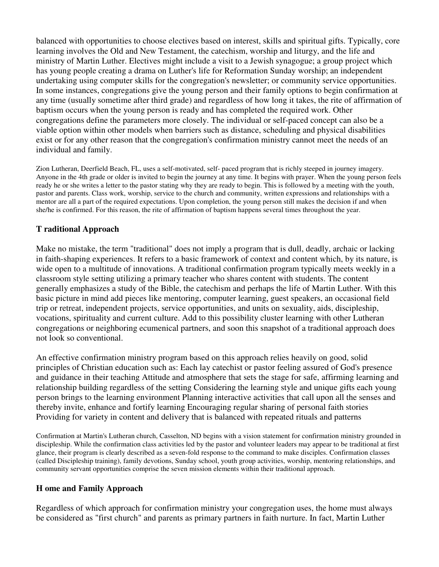balanced with opportunities to choose electives based on interest, skills and spiritual gifts. Typically, core learning involves the Old and New Testament, the catechism, worship and liturgy, and the life and ministry of Martin Luther. Electives might include a visit to a Jewish synagogue; a group project which has young people creating a drama on Luther's life for Reformation Sunday worship; an independent undertaking using computer skills for the congregation's newsletter; or community service opportunities. In some instances, congregations give the young person and their family options to begin confirmation at any time (usually sometime after third grade) and regardless of how long it takes, the rite of affirmation of baptism occurs when the young person is ready and has completed the required work. Other congregations define the parameters more closely. The individual or self-paced concept can also be a viable option within other models when barriers such as distance, scheduling and physical disabilities exist or for any other reason that the congregation's confirmation ministry cannot meet the needs of an individual and family.

Zion Lutheran, Deerfield Beach, FL, uses a self-motivated, self- paced program that is richly steeped in journey imagery. Anyone in the 4th grade or older is invited to begin the journey at any time. It begins with prayer. When the young person feels ready he or she writes a letter to the pastor stating why they are ready to begin. This is followed by a meeting with the youth, pastor and parents. Class work, worship, service to the church and community, written expressions and relationships with a mentor are all a part of the required expectations. Upon completion, the young person still makes the decision if and when she/he is confirmed. For this reason, the rite of affirmation of baptism happens several times throughout the year.

# **T raditional Approach**

Make no mistake, the term "traditional" does not imply a program that is dull, deadly, archaic or lacking in faith-shaping experiences. It refers to a basic framework of context and content which, by its nature, is wide open to a multitude of innovations. A traditional confirmation program typically meets weekly in a classroom style setting utilizing a primary teacher who shares content with students. The content generally emphasizes a study of the Bible, the catechism and perhaps the life of Martin Luther. With this basic picture in mind add pieces like mentoring, computer learning, guest speakers, an occasional field trip or retreat, independent projects, service opportunities, and units on sexuality, aids, discipleship, vocations, spirituality and current culture. Add to this possibility cluster learning with other Lutheran congregations or neighboring ecumenical partners, and soon this snapshot of a traditional approach does not look so conventional.

An effective confirmation ministry program based on this approach relies heavily on good, solid principles of Christian education such as: Each lay catechist or pastor feeling assured of God's presence and guidance in their teaching Attitude and atmosphere that sets the stage for safe, affirming learning and relationship building regardless of the setting Considering the learning style and unique gifts each young person brings to the learning environment Planning interactive activities that call upon all the senses and thereby invite, enhance and fortify learning Encouraging regular sharing of personal faith stories Providing for variety in content and delivery that is balanced with repeated rituals and patterns

Confirmation at Martin's Lutheran church, Casselton, ND begins with a vision statement for confirmation ministry grounded in discipleship. While the confirmation class activities led by the pastor and volunteer leaders may appear to be traditional at first glance, their program is clearly described as a seven-fold response to the command to make disciples. Confirmation classes (called Discipleship training), family devotions, Sunday school, youth group activities, worship, mentoring relationships, and community servant opportunities comprise the seven mission elements within their traditional approach.

# **H ome and Family Approach**

Regardless of which approach for confirmation ministry your congregation uses, the home must always be considered as "first church" and parents as primary partners in faith nurture. In fact, Martin Luther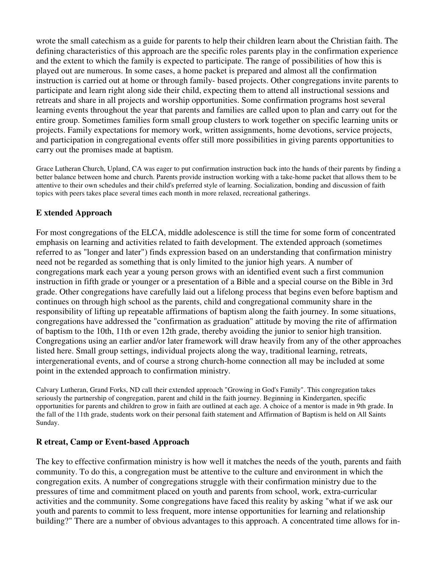wrote the small catechism as a guide for parents to help their children learn about the Christian faith. The defining characteristics of this approach are the specific roles parents play in the confirmation experience and the extent to which the family is expected to participate. The range of possibilities of how this is played out are numerous. In some cases, a home packet is prepared and almost all the confirmation instruction is carried out at home or through family- based projects. Other congregations invite parents to participate and learn right along side their child, expecting them to attend all instructional sessions and retreats and share in all projects and worship opportunities. Some confirmation programs host several learning events throughout the year that parents and families are called upon to plan and carry out for the entire group. Sometimes families form small group clusters to work together on specific learning units or projects. Family expectations for memory work, written assignments, home devotions, service projects, and participation in congregational events offer still more possibilities in giving parents opportunities to carry out the promises made at baptism.

Grace Lutheran Church, Upland, CA was eager to put confirmation instruction back into the hands of their parents by finding a better balance between home and church. Parents provide instruction working with a take-home packet that allows them to be attentive to their own schedules and their child's preferred style of learning. Socialization, bonding and discussion of faith topics with peers takes place several times each month in more relaxed, recreational gatherings.

# **E xtended Approach**

For most congregations of the ELCA, middle adolescence is still the time for some form of concentrated emphasis on learning and activities related to faith development. The extended approach (sometimes referred to as "longer and later") finds expression based on an understanding that confirmation ministry need not be regarded as something that is only limited to the junior high years. A number of congregations mark each year a young person grows with an identified event such a first communion instruction in fifth grade or younger or a presentation of a Bible and a special course on the Bible in 3rd grade. Other congregations have carefully laid out a lifelong process that begins even before baptism and continues on through high school as the parents, child and congregational community share in the responsibility of lifting up repeatable affirmations of baptism along the faith journey. In some situations, congregations have addressed the "confirmation as graduation" attitude by moving the rite of affirmation of baptism to the 10th, 11th or even 12th grade, thereby avoiding the junior to senior high transition. Congregations using an earlier and/or later framework will draw heavily from any of the other approaches listed here. Small group settings, individual projects along the way, traditional learning, retreats, intergenerational events, and of course a strong church-home connection all may be included at some point in the extended approach to confirmation ministry.

Calvary Lutheran, Grand Forks, ND call their extended approach "Growing in God's Family". This congregation takes seriously the partnership of congregation, parent and child in the faith journey. Beginning in Kindergarten, specific opportunities for parents and children to grow in faith are outlined at each age. A choice of a mentor is made in 9th grade. In the fall of the 11th grade, students work on their personal faith statement and Affirmation of Baptism is held on All Saints Sunday.

# **R etreat, Camp or Event-based Approach**

The key to effective confirmation ministry is how well it matches the needs of the youth, parents and faith community. To do this, a congregation must be attentive to the culture and environment in which the congregation exits. A number of congregations struggle with their confirmation ministry due to the pressures of time and commitment placed on youth and parents from school, work, extra-curricular activities and the community. Some congregations have faced this reality by asking "what if we ask our youth and parents to commit to less frequent, more intense opportunities for learning and relationship building?" There are a number of obvious advantages to this approach. A concentrated time allows for in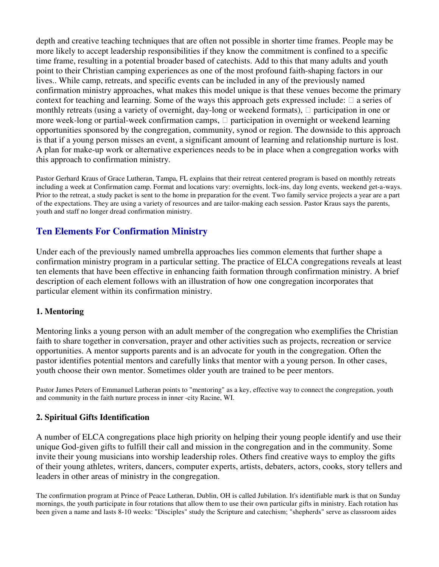depth and creative teaching techniques that are often not possible in shorter time frames. People may be more likely to accept leadership responsibilities if they know the commitment is confined to a specific time frame, resulting in a potential broader based of catechists. Add to this that many adults and youth point to their Christian camping experiences as one of the most profound faith-shaping factors in our lives.. While camp, retreats, and specific events can be included in any of the previously named confirmation ministry approaches, what makes this model unique is that these venues become the primary context for teaching and learning. Some of the ways this approach gets expressed include: a series of monthly retreats (using a variety of overnight, day-long or weekend formats), participation in one or more week-long or partial-week confirmation camps, participation in overnight or weekend learning opportunities sponsored by the congregation, community, synod or region. The downside to this approach is that if a young person misses an event, a significant amount of learning and relationship nurture is lost. A plan for make-up work or alternative experiences needs to be in place when a congregation works with this approach to confirmation ministry.

Pastor Gerhard Kraus of Grace Lutheran, Tampa, FL explains that their retreat centered program is based on monthly retreats including a week at Confirmation camp. Format and locations vary: overnights, lock-ins, day long events, weekend get-a-ways. Prior to the retreat, a study packet is sent to the home in preparation for the event. Two family service projects a year are a part of the expectations. They are using a variety of resources and are tailor-making each session. Pastor Kraus says the parents, youth and staff no longer dread confirmation ministry.

# **Ten Elements For Confirmation Ministry**

Under each of the previously named umbrella approaches lies common elements that further shape a confirmation ministry program in a particular setting. The practice of ELCA congregations reveals at least ten elements that have been effective in enhancing faith formation through confirmation ministry. A brief description of each element follows with an illustration of how one congregation incorporates that particular element within its confirmation ministry.

# **1. Mentoring**

Mentoring links a young person with an adult member of the congregation who exemplifies the Christian faith to share together in conversation, prayer and other activities such as projects, recreation or service opportunities. A mentor supports parents and is an advocate for youth in the congregation. Often the pastor identifies potential mentors and carefully links that mentor with a young person. In other cases, youth choose their own mentor. Sometimes older youth are trained to be peer mentors.

Pastor James Peters of Emmanuel Lutheran points to "mentoring" as a key, effective way to connect the congregation, youth and community in the faith nurture process in inner -city Racine, WI.

# **2. Spiritual Gifts Identification**

A number of ELCA congregations place high priority on helping their young people identify and use their unique God-given gifts to fulfill their call and mission in the congregation and in the community. Some invite their young musicians into worship leadership roles. Others find creative ways to employ the gifts of their young athletes, writers, dancers, computer experts, artists, debaters, actors, cooks, story tellers and leaders in other areas of ministry in the congregation.

The confirmation program at Prince of Peace Lutheran, Dublin, OH is called Jubilation. It's identifiable mark is that on Sunday mornings, the youth participate in four rotations that allow them to use their own particular gifts in ministry. Each rotation has been given a name and lasts 8-10 weeks: "Disciples" study the Scripture and catechism; "shepherds" serve as classroom aides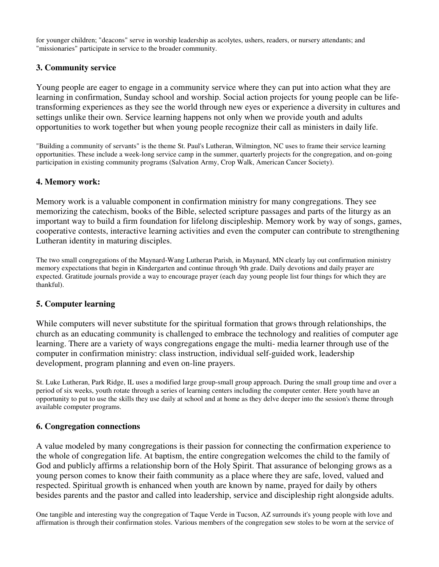for younger children; "deacons" serve in worship leadership as acolytes, ushers, readers, or nursery attendants; and "missionaries" participate in service to the broader community.

### **3. Community service**

Young people are eager to engage in a community service where they can put into action what they are learning in confirmation, Sunday school and worship. Social action projects for young people can be lifetransforming experiences as they see the world through new eyes or experience a diversity in cultures and settings unlike their own. Service learning happens not only when we provide youth and adults opportunities to work together but when young people recognize their call as ministers in daily life.

"Building a community of servants" is the theme St. Paul's Lutheran, Wilmington, NC uses to frame their service learning opportunities. These include a week-long service camp in the summer, quarterly projects for the congregation, and on-going participation in existing community programs (Salvation Army, Crop Walk, American Cancer Society).

#### **4. Memory work:**

Memory work is a valuable component in confirmation ministry for many congregations. They see memorizing the catechism, books of the Bible, selected scripture passages and parts of the liturgy as an important way to build a firm foundation for lifelong discipleship. Memory work by way of songs, games, cooperative contests, interactive learning activities and even the computer can contribute to strengthening Lutheran identity in maturing disciples.

The two small congregations of the Maynard-Wang Lutheran Parish, in Maynard, MN clearly lay out confirmation ministry memory expectations that begin in Kindergarten and continue through 9th grade. Daily devotions and daily prayer are expected. Gratitude journals provide a way to encourage prayer (each day young people list four things for which they are thankful).

#### **5. Computer learning**

While computers will never substitute for the spiritual formation that grows through relationships, the church as an educating community is challenged to embrace the technology and realities of computer age learning. There are a variety of ways congregations engage the multi- media learner through use of the computer in confirmation ministry: class instruction, individual self-guided work, leadership development, program planning and even on-line prayers.

St. Luke Lutheran, Park Ridge, IL uses a modified large group-small group approach. During the small group time and over a period of six weeks, youth rotate through a series of learning centers including the computer center. Here youth have an opportunity to put to use the skills they use daily at school and at home as they delve deeper into the session's theme through available computer programs.

#### **6. Congregation connections**

A value modeled by many congregations is their passion for connecting the confirmation experience to the whole of congregation life. At baptism, the entire congregation welcomes the child to the family of God and publicly affirms a relationship born of the Holy Spirit. That assurance of belonging grows as a young person comes to know their faith community as a place where they are safe, loved, valued and respected. Spiritual growth is enhanced when youth are known by name, prayed for daily by others besides parents and the pastor and called into leadership, service and discipleship right alongside adults.

One tangible and interesting way the congregation of Taque Verde in Tucson, AZ surrounds it's young people with love and affirmation is through their confirmation stoles. Various members of the congregation sew stoles to be worn at the service of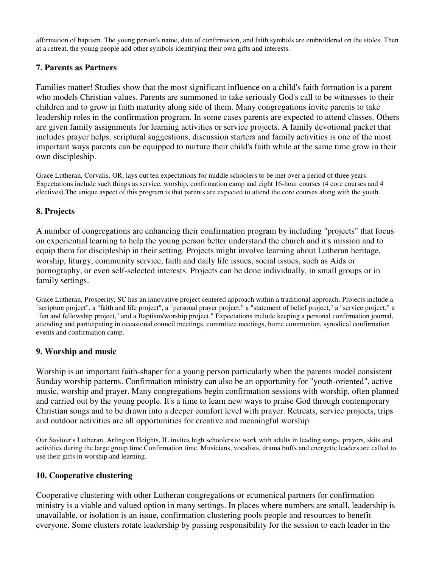affirmation of baptism. The young person's name, date of confirmation, and faith symbols are embroidered on the stoles. Then at a retreat, the young people add other symbols identifying their own gifts and interests.

# **7. Parents as Partners**

Families matter! Studies show that the most significant influence on a child's faith formation is a parent who models Christian values. Parents are summoned to take seriously God's call to be witnesses to their children and to grow in faith maturity along side of them. Many congregations invite parents to take leadership roles in the confirmation program. In some cases parents are expected to attend classes. Others are given family assignments for learning activities or service projects. A family devotional packet that includes prayer helps, scriptural suggestions, discussion starters and family activities is one of the most important ways parents can be equipped to nurture their child's faith while at the same time grow in their own discipleship.

Grace Lutheran, Corvalis, OR, lays out ten expectations for middle schoolers to be met over a period of three years. Expectations include such things as service, worship, confirmation camp and eight 16-hour courses (4 core courses and 4 electives).The unique aspect of this program is that parents are expected to attend the core courses along with the youth.

# **8. Projects**

A number of congregations are enhancing their confirmation program by including "projects" that focus on experiential learning to help the young person better understand the church and it's mission and to equip them for discipleship in their setting. Projects might involve learning about Lutheran heritage, worship, liturgy, community service, faith and daily life issues, social issues, such as Aids or pornography, or even self-selected interests. Projects can be done individually, in small groups or in family settings.

Grace Lutheran, Prosperity, SC has an innovative project centered approach within a traditional approach. Projects include a "scripture project", a "faith and life project", a "personal prayer project," a "statement of belief project," a "service project," a "fun and fellowship project," and a Baptism/worship project." Expectations include keeping a personal confirmation journal, attending and participating in occasional council meetings, committee meetings, home communion, synodical confirmation events and confirmation camp.

#### **9. Worship and music**

Worship is an important faith-shaper for a young person particularly when the parents model consistent Sunday worship patterns. Confirmation ministry can also be an opportunity for "youth-oriented", active music, worship and prayer. Many congregations begin confirmation sessions with worship, often planned and carried out by the young people. It's a time to learn new ways to praise God through contemporary Christian songs and to be drawn into a deeper comfort level with prayer. Retreats, service projects, trips and outdoor activities are all opportunities for creative and meaningful worship.

Our Saviour's Lutheran, Arlington Heights, IL invites high schoolers to work with adults in leading songs, prayers, skits and activities during the large group time Confirmation time. Musicians, vocalists, drama buffs and energetic leaders are called to use their gifts in worship and learning.

#### **10. Cooperative clustering**

Cooperative clustering with other Lutheran congregations or ecumenical partners for confirmation ministry is a viable and valued option in many settings. In places where numbers are small, leadership is unavailable, or isolation is an issue, confirmation clustering pools people and resources to benefit everyone. Some clusters rotate leadership by passing responsibility for the session to each leader in the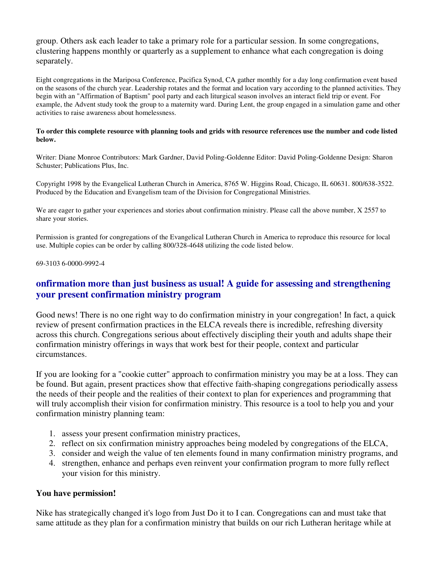group. Others ask each leader to take a primary role for a particular session. In some congregations, clustering happens monthly or quarterly as a supplement to enhance what each congregation is doing separately.

Eight congregations in the Mariposa Conference, Pacifica Synod, CA gather monthly for a day long confirmation event based on the seasons of the church year. Leadership rotates and the format and location vary according to the planned activities. They begin with an "Affirmation of Baptism" pool party and each liturgical season involves an interact field trip or event. For example, the Advent study took the group to a maternity ward. During Lent, the group engaged in a simulation game and other activities to raise awareness about homelessness.

#### To order this complete resource with planning tools and grids with resource references use the number and code listed **below.**

Writer: Diane Monroe Contributors: Mark Gardner, David Poling-Goldenne Editor: David Poling-Goldenne Design: Sharon Schuster; Publications Plus, Inc.

Copyright 1998 by the Evangelical Lutheran Church in America, 8765 W. Higgins Road, Chicago, IL 60631. 800/638-3522. Produced by the Education and Evangelism team of the Division for Congregational Ministries.

We are eager to gather your experiences and stories about confirmation ministry. Please call the above number, X 2557 to share your stories.

Permission is granted for congregations of the Evangelical Lutheran Church in America to reproduce this resource for local use. Multiple copies can be order by calling 800/328-4648 utilizing the code listed below.

69-3103 6-0000-9992-4

# **onfirmation more than just business as usual! A guide for assessing and strengthening your present confirmation ministry program**

Good news! There is no one right way to do confirmation ministry in your congregation! In fact, a quick review of present confirmation practices in the ELCA reveals there is incredible, refreshing diversity across this church. Congregations serious about effectively discipling their youth and adults shape their confirmation ministry offerings in ways that work best for their people, context and particular circumstances.

If you are looking for a "cookie cutter" approach to confirmation ministry you may be at a loss. They can be found. But again, present practices show that effective faith-shaping congregations periodically assess the needs of their people and the realities of their context to plan for experiences and programming that will truly accomplish their vision for confirmation ministry. This resource is a tool to help you and your confirmation ministry planning team:

- 1. assess your present confirmation ministry practices,
- 2. reflect on six confirmation ministry approaches being modeled by congregations of the ELCA,
- 3. consider and weigh the value of ten elements found in many confirmation ministry programs, and
- 4. strengthen, enhance and perhaps even reinvent your confirmation program to more fully reflect your vision for this ministry.

#### **You have permission!**

Nike has strategically changed it's logo from Just Do it to I can. Congregations can and must take that same attitude as they plan for a confirmation ministry that builds on our rich Lutheran heritage while at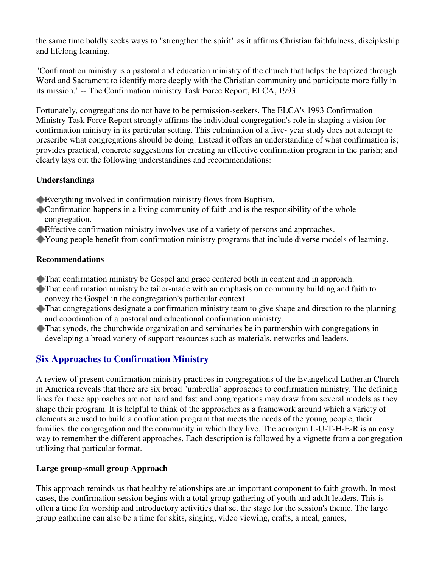the same time boldly seeks ways to "strengthen the spirit" as it affirms Christian faithfulness, discipleship and lifelong learning.

"Confirmation ministry is a pastoral and education ministry of the church that helps the baptized through Word and Sacrament to identify more deeply with the Christian community and participate more fully in its mission." -- The Confirmation ministry Task Force Report, ELCA, 1993

Fortunately, congregations do not have to be permission-seekers. The ELCA's 1993 Confirmation Ministry Task Force Report strongly affirms the individual congregation's role in shaping a vision for confirmation ministry in its particular setting. This culmination of a five- year study does not attempt to prescribe what congregations should be doing. Instead it offers an understanding of what confirmation is; provides practical, concrete suggestions for creating an effective confirmation program in the parish; and clearly lays out the following understandings and recommendations:

# **Understandings**

- Everything involved in confirmation ministry flows from Baptism.
- Confirmation happens in a living community of faith and is the responsibility of the whole congregation.
- Effective confirmation ministry involves use of a variety of persons and approaches.
- Young people benefit from confirmation ministry programs that include diverse models of learning.

# **Recommendations**

- That confirmation ministry be Gospel and grace centered both in content and in approach.
- That confirmation ministry be tailor-made with an emphasis on community building and faith to convey the Gospel in the congregation's particular context.
- That congregations designate a confirmation ministry team to give shape and direction to the planning and coordination of a pastoral and educational confirmation ministry.
- That synods, the churchwide organization and seminaries be in partnership with congregations in developing a broad variety of support resources such as materials, networks and leaders.

# **Six Approaches to Confirmation Ministry**

A review of present confirmation ministry practices in congregations of the Evangelical Lutheran Church in America reveals that there are six broad "umbrella" approaches to confirmation ministry. The defining lines for these approaches are not hard and fast and congregations may draw from several models as they shape their program. It is helpful to think of the approaches as a framework around which a variety of elements are used to build a confirmation program that meets the needs of the young people, their families, the congregation and the community in which they live. The acronym L-U-T-H-E-R is an easy way to remember the different approaches. Each description is followed by a vignette from a congregation utilizing that particular format.

# **Large group-small group Approach**

This approach reminds us that healthy relationships are an important component to faith growth. In most cases, the confirmation session begins with a total group gathering of youth and adult leaders. This is often a time for worship and introductory activities that set the stage for the session's theme. The large group gathering can also be a time for skits, singing, video viewing, crafts, a meal, games,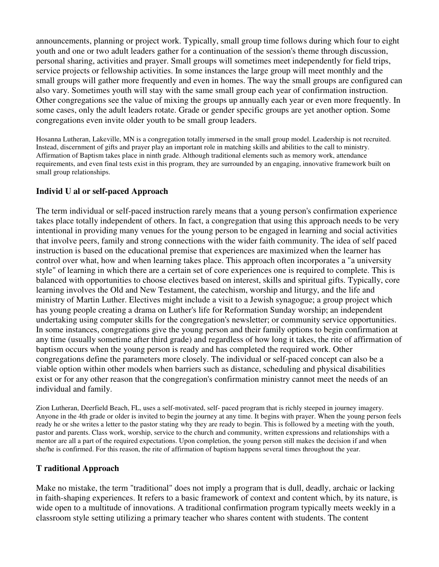announcements, planning or project work. Typically, small group time follows during which four to eight youth and one or two adult leaders gather for a continuation of the session's theme through discussion, personal sharing, activities and prayer. Small groups will sometimes meet independently for field trips, service projects or fellowship activities. In some instances the large group will meet monthly and the small groups will gather more frequently and even in homes. The way the small groups are configured can also vary. Sometimes youth will stay with the same small group each year of confirmation instruction. Other congregations see the value of mixing the groups up annually each year or even more frequently. In some cases, only the adult leaders rotate. Grade or gender specific groups are yet another option. Some congregations even invite older youth to be small group leaders.

Hosanna Lutheran, Lakeville, MN is a congregation totally immersed in the small group model. Leadership is not recruited. Instead, discernment of gifts and prayer play an important role in matching skills and abilities to the call to ministry. Affirmation of Baptism takes place in ninth grade. Although traditional elements such as memory work, attendance requirements, and even final tests exist in this program, they are surrounded by an engaging, innovative framework built on small group relationships.

# **Individ U al or self-paced Approach**

The term individual or self-paced instruction rarely means that a young person's confirmation experience takes place totally independent of others. In fact, a congregation that using this approach needs to be very intentional in providing many venues for the young person to be engaged in learning and social activities that involve peers, family and strong connections with the wider faith community. The idea of self paced instruction is based on the educational premise that experiences are maximized when the learner has control over what, how and when learning takes place. This approach often incorporates a "a university style" of learning in which there are a certain set of core experiences one is required to complete. This is balanced with opportunities to choose electives based on interest, skills and spiritual gifts. Typically, core learning involves the Old and New Testament, the catechism, worship and liturgy, and the life and ministry of Martin Luther. Electives might include a visit to a Jewish synagogue; a group project which has young people creating a drama on Luther's life for Reformation Sunday worship; an independent undertaking using computer skills for the congregation's newsletter; or community service opportunities. In some instances, congregations give the young person and their family options to begin confirmation at any time (usually sometime after third grade) and regardless of how long it takes, the rite of affirmation of baptism occurs when the young person is ready and has completed the required work. Other congregations define the parameters more closely. The individual or self-paced concept can also be a viable option within other models when barriers such as distance, scheduling and physical disabilities exist or for any other reason that the congregation's confirmation ministry cannot meet the needs of an individual and family.

Zion Lutheran, Deerfield Beach, FL, uses a self-motivated, self- paced program that is richly steeped in journey imagery. Anyone in the 4th grade or older is invited to begin the journey at any time. It begins with prayer. When the young person feels ready he or she writes a letter to the pastor stating why they are ready to begin. This is followed by a meeting with the youth, pastor and parents. Class work, worship, service to the church and community, written expressions and relationships with a mentor are all a part of the required expectations. Upon completion, the young person still makes the decision if and when she/he is confirmed. For this reason, the rite of affirmation of baptism happens several times throughout the year.

# **T raditional Approach**

Make no mistake, the term "traditional" does not imply a program that is dull, deadly, archaic or lacking in faith-shaping experiences. It refers to a basic framework of context and content which, by its nature, is wide open to a multitude of innovations. A traditional confirmation program typically meets weekly in a classroom style setting utilizing a primary teacher who shares content with students. The content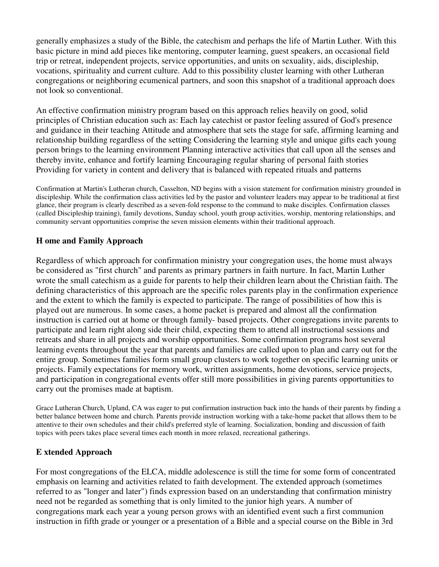generally emphasizes a study of the Bible, the catechism and perhaps the life of Martin Luther. With this basic picture in mind add pieces like mentoring, computer learning, guest speakers, an occasional field trip or retreat, independent projects, service opportunities, and units on sexuality, aids, discipleship, vocations, spirituality and current culture. Add to this possibility cluster learning with other Lutheran congregations or neighboring ecumenical partners, and soon this snapshot of a traditional approach does not look so conventional.

An effective confirmation ministry program based on this approach relies heavily on good, solid principles of Christian education such as: Each lay catechist or pastor feeling assured of God's presence and guidance in their teaching Attitude and atmosphere that sets the stage for safe, affirming learning and relationship building regardless of the setting Considering the learning style and unique gifts each young person brings to the learning environment Planning interactive activities that call upon all the senses and thereby invite, enhance and fortify learning Encouraging regular sharing of personal faith stories Providing for variety in content and delivery that is balanced with repeated rituals and patterns

Confirmation at Martin's Lutheran church, Casselton, ND begins with a vision statement for confirmation ministry grounded in discipleship. While the confirmation class activities led by the pastor and volunteer leaders may appear to be traditional at first glance, their program is clearly described as a seven-fold response to the command to make disciples. Confirmation classes (called Discipleship training), family devotions, Sunday school, youth group activities, worship, mentoring relationships, and community servant opportunities comprise the seven mission elements within their traditional approach.

# **H ome and Family Approach**

Regardless of which approach for confirmation ministry your congregation uses, the home must always be considered as "first church" and parents as primary partners in faith nurture. In fact, Martin Luther wrote the small catechism as a guide for parents to help their children learn about the Christian faith. The defining characteristics of this approach are the specific roles parents play in the confirmation experience and the extent to which the family is expected to participate. The range of possibilities of how this is played out are numerous. In some cases, a home packet is prepared and almost all the confirmation instruction is carried out at home or through family- based projects. Other congregations invite parents to participate and learn right along side their child, expecting them to attend all instructional sessions and retreats and share in all projects and worship opportunities. Some confirmation programs host several learning events throughout the year that parents and families are called upon to plan and carry out for the entire group. Sometimes families form small group clusters to work together on specific learning units or projects. Family expectations for memory work, written assignments, home devotions, service projects, and participation in congregational events offer still more possibilities in giving parents opportunities to carry out the promises made at baptism.

Grace Lutheran Church, Upland, CA was eager to put confirmation instruction back into the hands of their parents by finding a better balance between home and church. Parents provide instruction working with a take-home packet that allows them to be attentive to their own schedules and their child's preferred style of learning. Socialization, bonding and discussion of faith topics with peers takes place several times each month in more relaxed, recreational gatherings.

#### **E xtended Approach**

For most congregations of the ELCA, middle adolescence is still the time for some form of concentrated emphasis on learning and activities related to faith development. The extended approach (sometimes referred to as "longer and later") finds expression based on an understanding that confirmation ministry need not be regarded as something that is only limited to the junior high years. A number of congregations mark each year a young person grows with an identified event such a first communion instruction in fifth grade or younger or a presentation of a Bible and a special course on the Bible in 3rd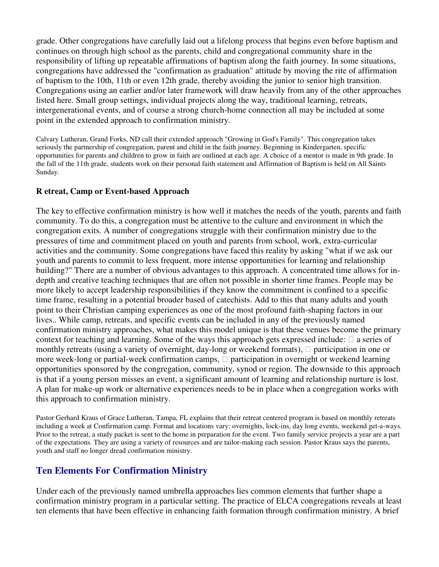grade. Other congregations have carefully laid out a lifelong process that begins even before baptism and continues on through high school as the parents, child and congregational community share in the responsibility of lifting up repeatable affirmations of baptism along the faith journey. In some situations, congregations have addressed the "confirmation as graduation" attitude by moving the rite of affirmation of baptism to the 10th, 11th or even 12th grade, thereby avoiding the junior to senior high transition. Congregations using an earlier and/or later framework will draw heavily from any of the other approaches listed here. Small group settings, individual projects along the way, traditional learning, retreats, intergenerational events, and of course a strong church-home connection all may be included at some point in the extended approach to confirmation ministry.

Calvary Lutheran, Grand Forks, ND call their extended approach "Growing in God's Family". This congregation takes seriously the partnership of congregation, parent and child in the faith journey. Beginning in Kindergarten, specific opportunities for parents and children to grow in faith are outlined at each age. A choice of a mentor is made in 9th grade. In the fall of the 11th grade, students work on their personal faith statement and Affirmation of Baptism is held on All Saints Sunday.

# **R etreat, Camp or Event-based Approach**

The key to effective confirmation ministry is how well it matches the needs of the youth, parents and faith community. To do this, a congregation must be attentive to the culture and environment in which the congregation exits. A number of congregations struggle with their confirmation ministry due to the pressures of time and commitment placed on youth and parents from school, work, extra-curricular activities and the community. Some congregations have faced this reality by asking "what if we ask our youth and parents to commit to less frequent, more intense opportunities for learning and relationship building?" There are a number of obvious advantages to this approach. A concentrated time allows for indepth and creative teaching techniques that are often not possible in shorter time frames. People may be more likely to accept leadership responsibilities if they know the commitment is confined to a specific time frame, resulting in a potential broader based of catechists. Add to this that many adults and youth point to their Christian camping experiences as one of the most profound faith-shaping factors in our lives.. While camp, retreats, and specific events can be included in any of the previously named confirmation ministry approaches, what makes this model unique is that these venues become the primary context for teaching and learning. Some of the ways this approach gets expressed include: a series of monthly retreats (using a variety of overnight, day-long or weekend formats), participation in one or more week-long or partial-week confirmation camps, participation in overnight or weekend learning opportunities sponsored by the congregation, community, synod or region. The downside to this approach is that if a young person misses an event, a significant amount of learning and relationship nurture is lost. A plan for make-up work or alternative experiences needs to be in place when a congregation works with this approach to confirmation ministry.

Pastor Gerhard Kraus of Grace Lutheran, Tampa, FL explains that their retreat centered program is based on monthly retreats including a week at Confirmation camp. Format and locations vary: overnights, lock-ins, day long events, weekend get-a-ways. Prior to the retreat, a study packet is sent to the home in preparation for the event. Two family service projects a year are a part of the expectations. They are using a variety of resources and are tailor-making each session. Pastor Kraus says the parents, youth and staff no longer dread confirmation ministry.

# **Ten Elements For Confirmation Ministry**

Under each of the previously named umbrella approaches lies common elements that further shape a confirmation ministry program in a particular setting. The practice of ELCA congregations reveals at least ten elements that have been effective in enhancing faith formation through confirmation ministry. A brief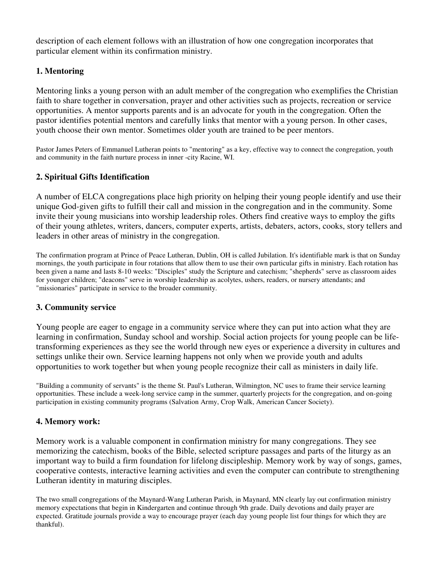description of each element follows with an illustration of how one congregation incorporates that particular element within its confirmation ministry.

# **1. Mentoring**

Mentoring links a young person with an adult member of the congregation who exemplifies the Christian faith to share together in conversation, prayer and other activities such as projects, recreation or service opportunities. A mentor supports parents and is an advocate for youth in the congregation. Often the pastor identifies potential mentors and carefully links that mentor with a young person. In other cases, youth choose their own mentor. Sometimes older youth are trained to be peer mentors.

Pastor James Peters of Emmanuel Lutheran points to "mentoring" as a key, effective way to connect the congregation, youth and community in the faith nurture process in inner -city Racine, WI.

# **2. Spiritual Gifts Identification**

A number of ELCA congregations place high priority on helping their young people identify and use their unique God-given gifts to fulfill their call and mission in the congregation and in the community. Some invite their young musicians into worship leadership roles. Others find creative ways to employ the gifts of their young athletes, writers, dancers, computer experts, artists, debaters, actors, cooks, story tellers and leaders in other areas of ministry in the congregation.

The confirmation program at Prince of Peace Lutheran, Dublin, OH is called Jubilation. It's identifiable mark is that on Sunday mornings, the youth participate in four rotations that allow them to use their own particular gifts in ministry. Each rotation has been given a name and lasts 8-10 weeks: "Disciples" study the Scripture and catechism; "shepherds" serve as classroom aides for younger children; "deacons" serve in worship leadership as acolytes, ushers, readers, or nursery attendants; and "missionaries" participate in service to the broader community.

# **3. Community service**

Young people are eager to engage in a community service where they can put into action what they are learning in confirmation, Sunday school and worship. Social action projects for young people can be lifetransforming experiences as they see the world through new eyes or experience a diversity in cultures and settings unlike their own. Service learning happens not only when we provide youth and adults opportunities to work together but when young people recognize their call as ministers in daily life.

"Building a community of servants" is the theme St. Paul's Lutheran, Wilmington, NC uses to frame their service learning opportunities. These include a week-long service camp in the summer, quarterly projects for the congregation, and on-going participation in existing community programs (Salvation Army, Crop Walk, American Cancer Society).

# **4. Memory work:**

Memory work is a valuable component in confirmation ministry for many congregations. They see memorizing the catechism, books of the Bible, selected scripture passages and parts of the liturgy as an important way to build a firm foundation for lifelong discipleship. Memory work by way of songs, games, cooperative contests, interactive learning activities and even the computer can contribute to strengthening Lutheran identity in maturing disciples.

The two small congregations of the Maynard-Wang Lutheran Parish, in Maynard, MN clearly lay out confirmation ministry memory expectations that begin in Kindergarten and continue through 9th grade. Daily devotions and daily prayer are expected. Gratitude journals provide a way to encourage prayer (each day young people list four things for which they are thankful).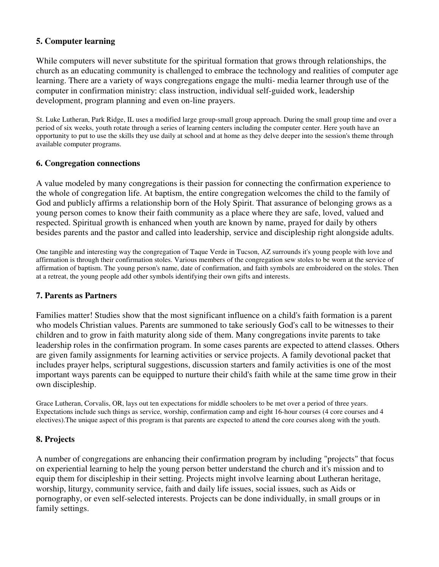# **5. Computer learning**

While computers will never substitute for the spiritual formation that grows through relationships, the church as an educating community is challenged to embrace the technology and realities of computer age learning. There are a variety of ways congregations engage the multi- media learner through use of the computer in confirmation ministry: class instruction, individual self-guided work, leadership development, program planning and even on-line prayers.

St. Luke Lutheran, Park Ridge, IL uses a modified large group-small group approach. During the small group time and over a period of six weeks, youth rotate through a series of learning centers including the computer center. Here youth have an opportunity to put to use the skills they use daily at school and at home as they delve deeper into the session's theme through available computer programs.

# **6. Congregation connections**

A value modeled by many congregations is their passion for connecting the confirmation experience to the whole of congregation life. At baptism, the entire congregation welcomes the child to the family of God and publicly affirms a relationship born of the Holy Spirit. That assurance of belonging grows as a young person comes to know their faith community as a place where they are safe, loved, valued and respected. Spiritual growth is enhanced when youth are known by name, prayed for daily by others besides parents and the pastor and called into leadership, service and discipleship right alongside adults.

One tangible and interesting way the congregation of Taque Verde in Tucson, AZ surrounds it's young people with love and affirmation is through their confirmation stoles. Various members of the congregation sew stoles to be worn at the service of affirmation of baptism. The young person's name, date of confirmation, and faith symbols are embroidered on the stoles. Then at a retreat, the young people add other symbols identifying their own gifts and interests.

# **7. Parents as Partners**

Families matter! Studies show that the most significant influence on a child's faith formation is a parent who models Christian values. Parents are summoned to take seriously God's call to be witnesses to their children and to grow in faith maturity along side of them. Many congregations invite parents to take leadership roles in the confirmation program. In some cases parents are expected to attend classes. Others are given family assignments for learning activities or service projects. A family devotional packet that includes prayer helps, scriptural suggestions, discussion starters and family activities is one of the most important ways parents can be equipped to nurture their child's faith while at the same time grow in their own discipleship.

Grace Lutheran, Corvalis, OR, lays out ten expectations for middle schoolers to be met over a period of three years. Expectations include such things as service, worship, confirmation camp and eight 16-hour courses (4 core courses and 4 electives).The unique aspect of this program is that parents are expected to attend the core courses along with the youth.

# **8. Projects**

A number of congregations are enhancing their confirmation program by including "projects" that focus on experiential learning to help the young person better understand the church and it's mission and to equip them for discipleship in their setting. Projects might involve learning about Lutheran heritage, worship, liturgy, community service, faith and daily life issues, social issues, such as Aids or pornography, or even self-selected interests. Projects can be done individually, in small groups or in family settings.